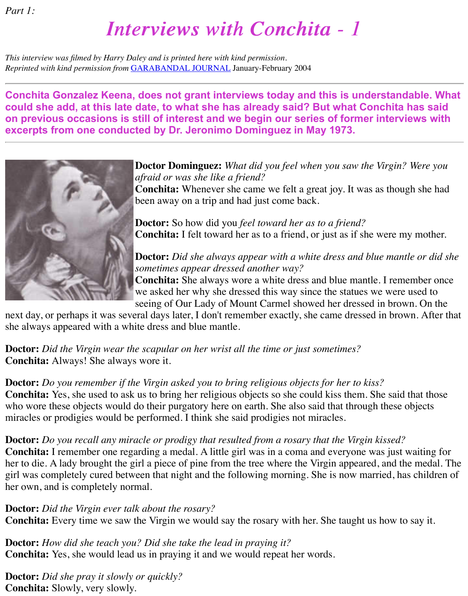# *Interviews with Conchita - 1 Interviews with Conchita - 1*

*This interview was filmed by Harry Daley and is printed here with kind permission. Reprinted with kind permission from* [GARABANDAL JOURNAL](file:///Users/michaelrozeluk%201%202%203/Documents/GARABANDAL%20WEB/faq/magazineJournal.htm) January-February 2004

**Conchita Gonzalez Keena, does not grant interviews today and this is understandable. What could she add, at this late date, to what she has already said? But what Conchita has said on previous occasions is still of interest and we begin our series of former interviews with excerpts from one conducted by Dr. Jeronimo Dominguez in May 1973.**



#### **Doctor Dominguez:** *What did you feel when you saw the Virgin? Were you afraid or was she like a friend?*

**Conchita:** Whenever she came we felt a great joy. It was as though she had been away on a trip and had just come back.

**Doctor:** So how did you *feel toward her as to a friend?* **Conchita:** I felt toward her as to a friend, or just as if she were my mother.

## **Doctor:** *Did she always appear with a white dress and blue mantle or did she sometimes appear dressed another way?*

**Conchita:** She always wore a white dress and blue mantle. I remember once we asked her why she dressed this way since the statues we were used to seeing of Our Lady of Mount Carmel showed her dressed in brown. On the

next day, or perhaps it was several days later, I don't remember exactly, she came dressed in brown. After that she always appeared with a white dress and blue mantle.

**Doctor:** *Did the Virgin wear the scapular on her wrist all the time or just sometimes?* **Conchita:** Always! She always wore it.

#### **Doctor:** *Do you remember if the Virgin asked you to bring religious objects for her to kiss?*

**Conchita:** Yes, she used to ask us to bring her religious objects so she could kiss them. She said that those who wore these objects would do their purgatory here on earth. She also said that through these objects miracles or prodigies would be performed. I think she said prodigies not miracles.

#### **Doctor:** *Do you recall any miracle or prodigy that resulted from a rosary that the Virgin kissed?*

**Conchita:** I remember one regarding a medal. A little girl was in a coma and everyone was just waiting for her to die. A lady brought the girl a piece of pine from the tree where the Virgin appeared, and the medal. The girl was completely cured between that night and the following morning. She is now married, has children of her own, and is completely normal.

#### **Doctor:** *Did the Virgin ever talk about the rosary?*

**Conchita:** Every time we saw the Virgin we would say the rosary with her. She taught us how to say it.

**Doctor:** *How did she teach you? Did she take the lead in praying it?* **Conchita:** Yes, she would lead us in praying it and we would repeat her words.

**Doctor:** *Did she pray it slowly or quickly?* **Conchita:** Slowly, very slowly.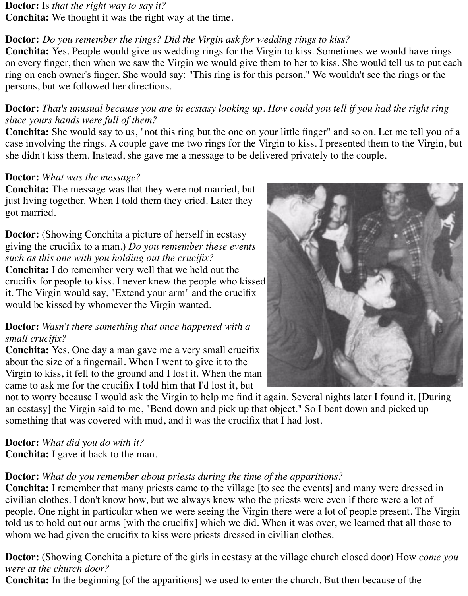#### **Doctor:** Is *that the right way to say it?*

**Conchita:** We thought it was the right way at the time.

### **Doctor:** *Do you remember the rings? Did the Virgin ask for wedding rings to kiss?*

**Conchita:** Yes. People would give us wedding rings for the Virgin to kiss. Sometimes we would have rings on every finger, then when we saw the Virgin we would give them to her to kiss. She would tell us to put each ring on each owner's finger. She would say: "This ring is for this person." We wouldn't see the rings or the persons, but we followed her directions.

#### **Doctor:** *That's unusual because you are in ecstasy looking up. How could you tell if you had the right ring since yours hands were full of them?*

**Conchita:** She would say to us, "not this ring but the one on your little finger" and so on. Let me tell you of a case involving the rings. A couple gave me two rings for the Virgin to kiss. I presented them to the Virgin, but she didn't kiss them. Instead, she gave me a message to be delivered privately to the couple.

#### **Doctor:** *What was the message?*

**Conchita:** The message was that they were not married, but just living together. When I told them they cried. Later they got married.

**Doctor:** (Showing Conchita a picture of herself in ecstasy giving the crucifix to a man.) *Do you remember these events such as this one with you holding out the crucifix?* **Conchita:** I do remember very well that we held out the crucifix for people to kiss. I never knew the people who kissed it. The Virgin would say, "Extend your arm" and the crucifix would be kissed by whomever the Virgin wanted.

#### **Doctor:** *Wasn't there something that once happened with a small crucifix?*

**Conchita:** Yes. One day a man gave me a very small crucifix about the size of a fingernail. When I went to give it to the Virgin to kiss, it fell to the ground and I lost it. When the man came to ask me for the crucifix I told him that I'd lost it, but

not to worry because I would ask the Virgin to help me find it again. Several nights later I found it. [During an ecstasy] the Virgin said to me, "Bend down and pick up that object." So I bent down and picked up something that was covered with mud, and it was the crucifix that I had lost.

#### **Doctor:** *What did you do with it?*

**Conchita:** I gave it back to the man.

#### **Doctor:** *What do you remember about priests during the time of the apparitions?*

**Conchita:** I remember that many priests came to the village [to see the events] and many were dressed in civilian clothes. I don't know how, but we always knew who the priests were even if there were a lot of people. One night in particular when we were seeing the Virgin there were a lot of people present. The Virgin told us to hold out our arms [with the crucifix] which we did. When it was over, we learned that all those to whom we had given the crucifix to kiss were priests dressed in civilian clothes.

**Doctor:** (Showing Conchita a picture of the girls in ecstasy at the village church closed door) How *come you were at the church door?*

**Conchita:** In the beginning [of the apparitions] we used to enter the church. But then because of the

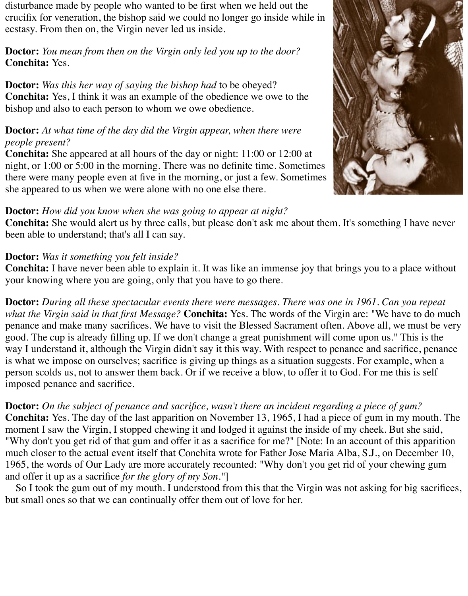disturbance made by people who wanted to be first when we held out the crucifix for veneration, the bishop said we could no longer go inside while in ecstasy. From then on, the Virgin never led us inside.

**Doctor:** *You mean from then on the Virgin only led you up to the door?* **Conchita:** Yes.

**Doctor:** *Was this her way of saying the bishop had* to be obeyed? **Conchita:** Yes, I think it was an example of the obedience we owe to the bishop and also to each person to whom we owe obedience.

#### **Doctor:** *At what time of the day did the Virgin appear, when there were people present?*

**Conchita:** She appeared at all hours of the day or night: 11:00 or 12:00 at night, or 1:00 or 5:00 in the morning. There was no definite time. Sometimes there were many people even at five in the morning, or just a few. Sometimes she appeared to us when we were alone with no one else there.

#### **Doctor:** *How did you know when she was going to appear at night?*

**Conchita:** She would alert us by three calls, but please don't ask me about them. It's something I have never been able to understand; that's all I can say.

#### **Doctor:** *Was it something you felt inside?*

**Conchita:** I have never been able to explain it. It was like an immense joy that brings you to a place without your knowing where you are going, only that you have to go there.

**Doctor:** *During all these spectacular events there were messages. There was one in 1961. Can you repeat what the Virgin said in that first Message?* **Conchita:** Yes. The words of the Virgin are: "We have to do much penance and make many sacrifices. We have to visit the Blessed Sacrament often. Above all, we must be very good. The cup is already filling up. If we don't change a great punishment will come upon us." This is the way I understand it, although the Virgin didn't say it this way. With respect to penance and sacrifice, penance is what we impose on ourselves; sacrifice is giving up things as a situation suggests. For example, when a person scolds us, not to answer them back. Or if we receive a blow, to offer it to God. For me this is self imposed penance and sacrifice.

**Doctor:** *On the subject of penance and sacrifice, wasn't there an incident regarding a piece of gum?* **Conchita:** Yes. The day of the last apparition on November 13, 1965, I had a piece of gum in my mouth. The moment I saw the Virgin, I stopped chewing it and lodged it against the inside of my cheek. But she said, "Why don't you get rid of that gum and offer it as a sacrifice for me?" [Note: In an account of this apparition much closer to the actual event itself that Conchita wrote for Father Jose Maria Alba, S.J., on December 10, 1965, the words of Our Lady are more accurately recounted: "Why don't you get rid of your chewing gum and offer it up as a sacrifice *for the glory of my Son."*]

So I took the gum out of my mouth. I understood from this that the Virgin was not asking for big sacrifices, but small ones so that we can continually offer them out of love for her.

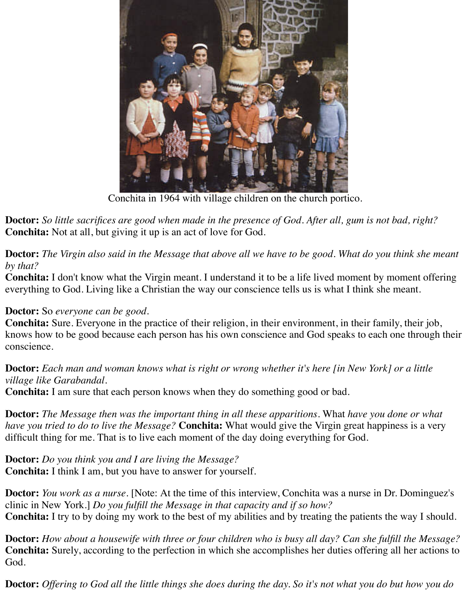

Conchita in 1964 with village children on the church portico.

**Doctor:** *So little sacrifices are good when made in the presence of God. After all, gum is not bad, right?* **Conchita:** Not at all, but giving it up is an act of love for God.

**Doctor:** *The Virgin also said in the Message that above all we have to be good. What do you think she meant by that?*

**Conchita:** I don't know what the Virgin meant. I understand it to be a life lived moment by moment offering everything to God. Living like a Christian the way our conscience tells us is what I think she meant.

#### **Doctor:** So *everyone can be good.*

**Conchita:** Sure. Everyone in the practice of their religion, in their environment, in their family, their job, knows how to be good because each person has his own conscience and God speaks to each one through their conscience.

#### **Doctor:** *Each man and woman knows what is right or wrong whether it's here [in New York] or a little village like Garabandal.*

**Conchita:** I am sure that each person knows when they do something good or bad.

**Doctor:** *The Message then was the important thing in all these apparitions.* What *have you done or what have you tried to do to live the Message?* **Conchita:** What would give the Virgin great happiness is a very difficult thing for me. That is to live each moment of the day doing everything for God.

**Doctor:** *Do you think you and I are living the Message?* **Conchita:** I think I am, but you have to answer for yourself.

**Doctor:** *You work as a nurse.* [Note: At the time of this interview, Conchita was a nurse in Dr. Dominguez's clinic in New York.] *Do you fulfill the Message in that capacity and if so how?* **Conchita:** I try to by doing my work to the best of my abilities and by treating the patients the way I should.

**Doctor:** *How about a housewife with three or four children who is busy all day? Can she fulfill the Message?* **Conchita:** Surely, according to the perfection in which she accomplishes her duties offering all her actions to God.

**Doctor:** *Offering to God all the little things she does during the day. So it's not what you do but how you do*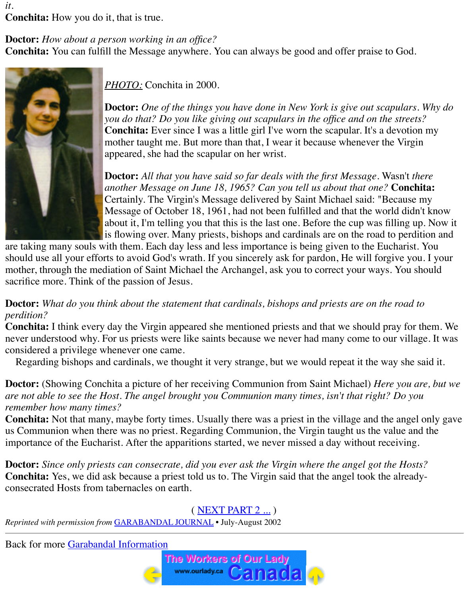*it.* **Conchita:** How you do it, that is true.

#### **Doctor:** *How about a person working in an office?*

**Conchita:** You can fulfill the Message anywhere. You can always be good and offer praise to God.



*PHOTO:* Conchita in 2000.

**Doctor:** *One of the things you have done in New York is give out scapulars. Why do you do that? Do you like giving out scapulars in the office and on the streets?* **Conchita:** Ever since I was a little girl I've worn the scapular. It's a devotion my mother taught me. But more than that, I wear it because whenever the Virgin appeared, she had the scapular on her wrist.

**Doctor:** *All that you have said so far deals with the first Message.* Wasn't *there another Message on June 18, 1965? Can you tell us about that one?* **Conchita:** Certainly. The Virgin's Message delivered by Saint Michael said: "Because my Message of October 18, 1961, had not been fulfilled and that the world didn't know about it, I'm telling you that this is the last one. Before the cup was filling up. Now it is flowing over. Many priests, bishops and cardinals are on the road to perdition and

are taking many souls with them. Each day less and less importance is being given to the Eucharist. You should use all your efforts to avoid God's wrath. If you sincerely ask for pardon, He will forgive you. I your mother, through the mediation of Saint Michael the Archangel, ask you to correct your ways. You should sacrifice more. Think of the passion of Jesus.

#### **Doctor:** *What do you think about the statement that cardinals, bishops and priests are on the road to perdition?*

**Conchita:** I think every day the Virgin appeared she mentioned priests and that we should pray for them. We never understood why. For us priests were like saints because we never had many come to our village. It was considered a privilege whenever one came.

Regarding bishops and cardinals, we thought it very strange, but we would repeat it the way she said it.

**Doctor:** (Showing Conchita a picture of her receiving Communion from Saint Michael) *Here you are, but we are not able to see the Host. The angel brought you Communion many times, isn't that right? Do you remember how many times?*

**Conchita:** Not that many, maybe forty times. Usually there was a priest in the village and the angel only gave us Communion when there was no priest. Regarding Communion, the Virgin taught us the value and the importance of the Eucharist. After the apparitions started, we never missed a day without receiving.

**Doctor:** *Since only priests can consecrate, did you ever ask the Virgin where the angel got the Hosts?* **Conchita:** Yes, we did ask because a priest told us to. The Virgin said that the angel took the alreadyconsecrated Hosts from tabernacles on earth.

## ( [NEXT PART 2 ...](file:///Users/michaelrozeluk%201%202%203/Documents/GARABANDAL%20WEB/info/conchita2.htm) )

*Reprinted with permission from* [GARABANDAL JOURNAL](file:///Users/michaelrozeluk%201%202%203/Documents/GARABANDAL%20WEB/faq/magazineJournal.htm) • July-August 2002

Back for more [Garabandal Information](file:///Users/michaelrozeluk%201%202%203/Documents/GARABANDAL%20WEB/info/index.htm)

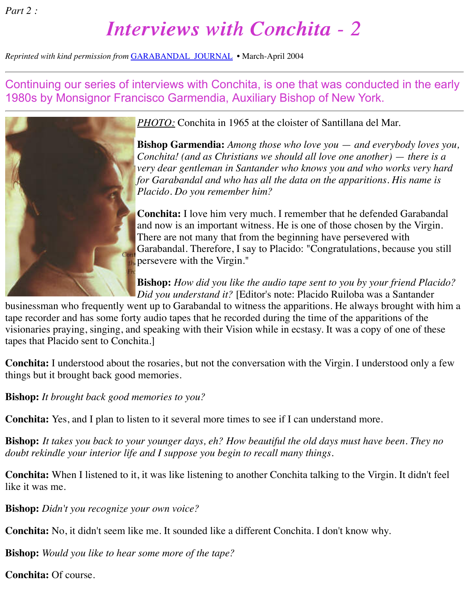*Part 2 :*

# *Interviews with Conchita - 2 Interviews with Conchita - 2*

*Reprinted with kind permission from* [GARABANDAL JOURNAL](file:///Users/michaelrozeluk%201%202%203/Documents/GARABANDAL%20WEB/faq/magazineJournal.htm) • March-April 2004

Continuing our series of interviews with Conchita, is one that was conducted in the early 1980s by Monsignor Francisco Garmendia, Auxiliary Bishop of New York.



*PHOTO:* Conchita in 1965 at the cloister of Santillana del Mar.

**Bishop Garmendia:** *Among those who love you* — *and everybody loves you, Conchita! (and as Christians we should all love one another) — there is a very dear gentleman in Santander who knows you and who works very hard for Garabandal and who has all the data on the apparitions. His name is Placido. Do you remember him?*

**Conchita:** I love him very much. I remember that he defended Garabandal and now is an important witness. He is one of those chosen by the Virgin. There are not many that from the beginning have persevered with Garabandal. Therefore, I say to Placido: "Congratulations, because you still persevere with the Virgin."

**Bishop:** *How did you like the audio tape sent to you by your friend Placido? Did you understand it?* [Editor's note: Placido Ruiloba was a Santander

businessman who frequently went up to Garabandal to witness the apparitions. He always brought with him a tape recorder and has some forty audio tapes that he recorded during the time of the apparitions of the visionaries praying, singing, and speaking with their Vision while in ecstasy. It was a copy of one of these tapes that Placido sent to Conchita.]

**Conchita:** I understood about the rosaries, but not the conversation with the Virgin. I understood only a few things but it brought back good memories.

**Bishop:** *It brought back good memories to you?*

**Conchita:** Yes, and I plan to listen to it several more times to see if I can understand more.

**Bishop:** *It takes you back to your younger days, eh? How beautiful the old days must have been. They no doubt rekindle your interior life and I suppose you begin to recall many things.*

**Conchita:** When I listened to it, it was like listening to another Conchita talking to the Virgin. It didn't feel like it was me.

**Bishop:** *Didn't you recognize your own voice?*

**Conchita:** No, it didn't seem like me. It sounded like a different Conchita. I don't know why.

**Bishop:** *Would you like to hear some more of the tape?*

**Conchita:** Of course.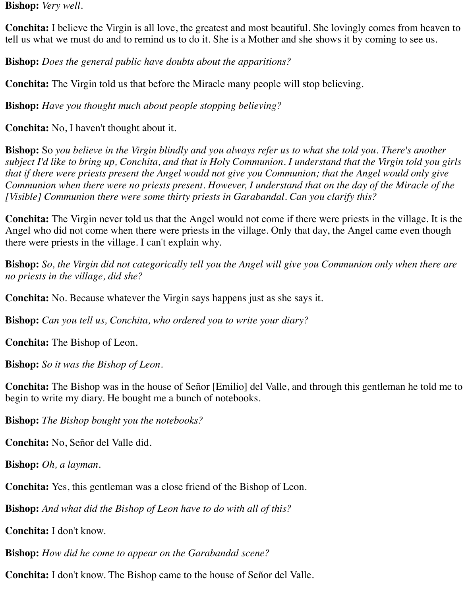**Bishop:** *Very well.*

**Conchita:** I believe the Virgin is all love, the greatest and most beautiful. She lovingly comes from heaven to tell us what we must do and to remind us to do it. She is a Mother and she shows it by coming to see us.

**Bishop:** *Does the general public have doubts about the apparitions?*

**Conchita:** The Virgin told us that before the Miracle many people will stop believing.

**Bishop:** *Have you thought much about people stopping believing?*

**Conchita:** No, I haven't thought about it.

**Bishop:** So *you believe in the Virgin blindly and you always refer us to what she told you. There's another subject I'd like to bring up, Conchita, and that is Holy Communion. I understand that the Virgin told you girls that if there were priests present the Angel would not give you Communion; that the Angel would only give Communion when there were no priests present. However, I understand that on the day of the Miracle of the [Visible] Communion there were some thirty priests in Garabandal. Can you clarify this?*

**Conchita:** The Virgin never told us that the Angel would not come if there were priests in the village. It is the Angel who did not come when there were priests in the village. Only that day, the Angel came even though there were priests in the village. I can't explain why.

**Bishop:** *So, the Virgin did not categorically tell you the Angel will give you Communion only when there are no priests in the village, did she?*

**Conchita:** No. Because whatever the Virgin says happens just as she says it.

**Bishop:** *Can you tell us, Conchita, who ordered you to write your diary?*

**Conchita:** The Bishop of Leon.

**Bishop:** *So it was the Bishop of Leon.*

**Conchita:** The Bishop was in the house of Señor [Emilio] del Valle, and through this gentleman he told me to begin to write my diary. He bought me a bunch of notebooks.

**Bishop:** *The Bishop bought you the notebooks?*

**Conchita:** No, Señor del Valle did.

**Bishop:** *Oh, a layman.*

**Conchita:** Yes, this gentleman was a close friend of the Bishop of Leon.

**Bishop:** *And what did the Bishop of Leon have to do with all of this?*

**Conchita:** I don't know.

**Bishop:** *How did he come to appear on the Garabandal scene?*

**Conchita:** I don't know. The Bishop came to the house of Señor del Valle.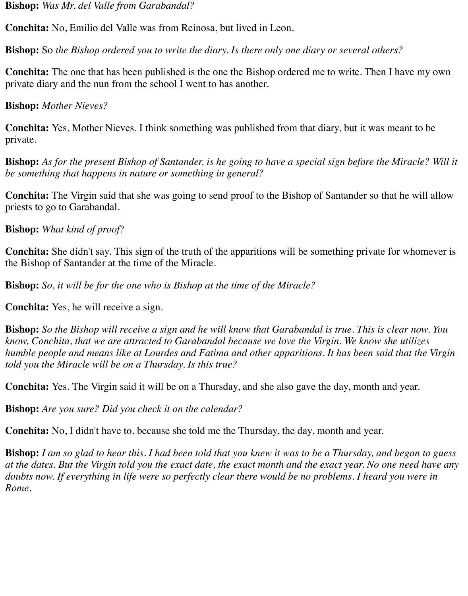**Bishop:** *Was Mr. del Valle from Garabandal?*

**Conchita:** No, Emilio del Valle was from Reinosa, but lived in Leon.

**Bishop:** So *the Bishop ordered you to write the diary. Is there only one diary or several others?*

**Conchita:** The one that has been published is the one the Bishop ordered me to write. Then I have my own private diary and the nun from the school I went to has another.

**Bishop:** *Mother Nieves?*

**Conchita:** Yes, Mother Nieves. I think something was published from that diary, but it was meant to be private.

**Bishop:** *As for the present Bishop of Santander, is he going to have a special sign before the Miracle? Will it be something that happens in nature or something in general?*

**Conchita:** The Virgin said that she was going to send proof to the Bishop of Santander so that he will allow priests to go to Garabandal.

**Bishop:** *What kind of proof?*

**Conchita:** She didn't say. This sign of the truth of the apparitions will be something private for whomever is the Bishop of Santander at the time of the Miracle.

**Bishop:** *So, it will be for the one who is Bishop at the time of the Miracle?*

**Conchita:** Yes, he will receive a sign.

**Bishop:** *So the Bishop will receive a sign and he will know that Garabandal is true. This is clear now. You know, Conchita, that we are attracted to Garabandal because we love the Virgin. We know she utilizes humble people and means like at Lourdes and Fatima and other apparitions. It has been said that the Virgin told you the Miracle will be on a Thursday. Is this true?*

**Conchita:** Yes. The Virgin said it will be on a Thursday, and she also gave the day, month and year.

**Bishop:** *Are you sure? Did you check it on the calendar?*

**Conchita:** No, I didn't have to, because she told me the Thursday, the day, month and year.

**Bishop:** *I am so glad to hear this. I had been told that you knew it was to be a Thursday, and began to guess at the dates. But the Virgin told you the exact date, the exact month and the exact year. No one need have any doubts now. If everything in life were so perfectly clear there would be no problems. I heard you were in Rome.*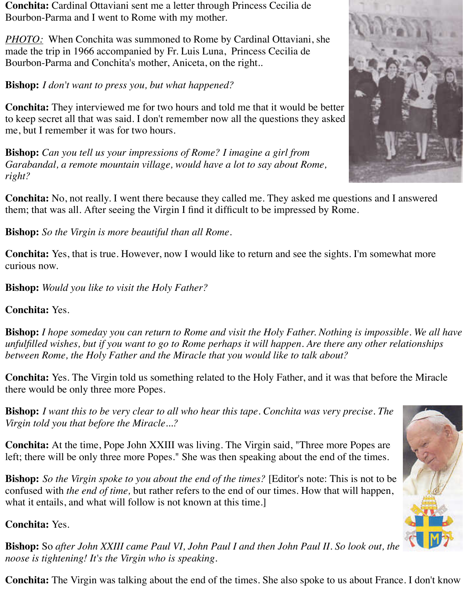**Conchita:** Cardinal Ottaviani sent me a letter through Princess Cecilia de Bourbon-Parma and I went to Rome with my mother.

*PHOTO:* When Conchita was summoned to Rome by Cardinal Ottaviani, she made the trip in 1966 accompanied by Fr. Luis Luna, Princess Cecilia de Bourbon-Parma and Conchita's mother, Aniceta, on the right..

**Bishop:** *I don't want to press you, but what happened?*

**Conchita:** They interviewed me for two hours and told me that it would be better to keep secret all that was said. I don't remember now all the questions they asked me, but I remember it was for two hours.

**Bishop:** *Can you tell us your impressions of Rome? I imagine a girl from Garabandal, a remote mountain village, would have a lot to say about Rome, right?*

**Conchita:** No, not really. I went there because they called me. They asked me questions and I answered them; that was all. After seeing the Virgin I find it difficult to be impressed by Rome.

**Bishop:** *So the Virgin is more beautiful than all Rome.*

**Conchita:** Yes, that is true. However, now I would like to return and see the sights. I'm somewhat more curious now.

**Bishop:** *Would you like to visit the Holy Father?*

**Conchita:** Yes.

**Bishop:** *I hope someday you can return to Rome and visit the Holy Father. Nothing is impossible. We all have unfulfilled wishes, but if you want to go to Rome perhaps it will happen. Are there any other relationships between Rome, the Holy Father and the Miracle that you would like to talk about?*

**Conchita:** Yes. The Virgin told us something related to the Holy Father, and it was that before the Miracle there would be only three more Popes.

**Bishop:** *I want this to be very clear to all who hear this tape. Conchita was very precise. The Virgin told you that before the Miracle...?*

**Conchita:** At the time, Pope John XXIII was living. The Virgin said, "Three more Popes are left; there will be only three more Popes." She was then speaking about the end of the times.

**Bishop:** *So the Virgin spoke to you about the end of the times?* [Editor's note: This is not to be confused with *the end of time,* but rather refers to the end of our times. How that will happen, what it entails, and what will follow is not known at this time.

**Conchita:** Yes.



**Bishop:** So *after John XXIII came Paul VI, John Paul I and then John Paul II. So look out, the noose is tightening! It's the Virgin who is speaking.*

**Conchita:** The Virgin was talking about the end of the times. She also spoke to us about France. I don't know

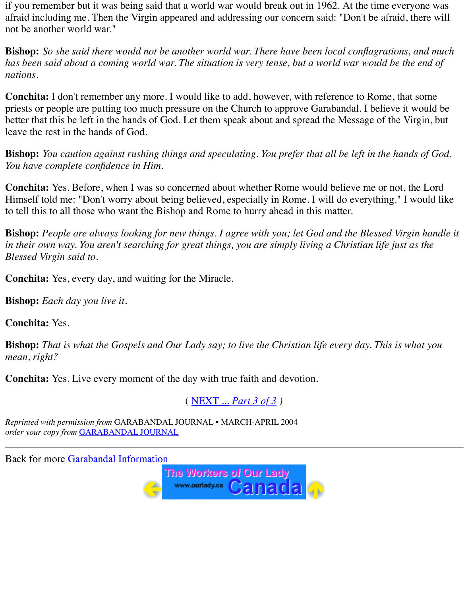if you remember but it was being said that a world war would break out in 1962. At the time everyone was afraid including me. Then the Virgin appeared and addressing our concern said: "Don't be afraid, there will not be another world war."

**Bishop:** *So she said there would not be another world war. There have been local conflagrations, and much has been said about a coming world war. The situation is very tense, but a world war would be the end of nations.*

**Conchita:** I don't remember any more. I would like to add, however, with reference to Rome, that some priests or people are putting too much pressure on the Church to approve Garabandal. I believe it would be better that this be left in the hands of God. Let them speak about and spread the Message of the Virgin, but leave the rest in the hands of God.

**Bishop:** *You caution against rushing things and speculating. You prefer that all be left in the hands of God. You have complete confidence in Him.*

**Conchita:** Yes. Before, when I was so concerned about whether Rome would believe me or not, the Lord Himself told me: "Don't worry about being believed, especially in Rome. I will do everything." I would like to tell this to all those who want the Bishop and Rome to hurry ahead in this matter.

**Bishop:** *People are always looking for new things. I agree with you; let God and the Blessed Virgin handle it in their own way. You aren't searching for great things, you are simply living a Christian life just as the Blessed Virgin said to.*

**Conchita:** Yes, every day, and waiting for the Miracle.

**Bishop:** *Each day you live it.*

**Conchita:** Yes.

**Bishop:** *That is what the Gospels and Our Lady say; to live the Christian life every day. This is what you mean, right?*

**Conchita:** Yes. Live every moment of the day with true faith and devotion.

( NEXT ... *Part 3 of 3 )*

*Reprinted with permission from* GARABANDAL JOURNAL • MARCH-APRIL 2004 *order your copy from* GARABANDAL JOURNAL

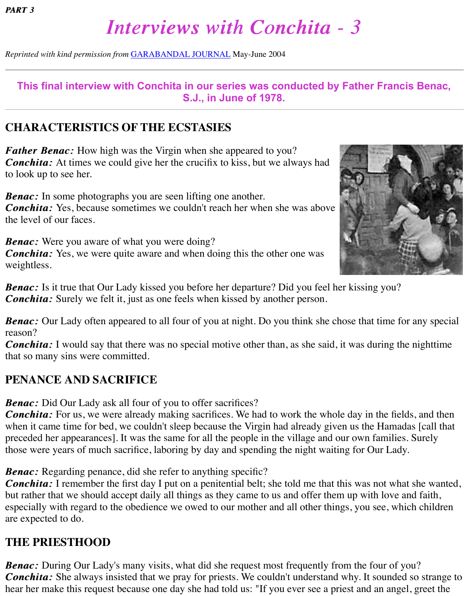# *Interviews with Conchita - 3 Interviews with Conchita - 3*

*Reprinted with kind permission from* [GARABANDAL JOURNAL](file:///Users/michaelrozeluk%201%202%203/Documents/GARABANDAL%20WEB/faq/magazineJournal.htm) May-June 2004

### **This final interview with Conchita in our series was conducted by Father Francis Benac, S.J., in June of 1978.**

## **CHARACTERISTICS OF THE ECSTASIES**

*Father Benac:* How high was the Virgin when she appeared to you? *Conchita:* At times we could give her the crucifix to kiss, but we always had to look up to see her.

*Benac:* In some photographs you are seen lifting one another. *Conchita:* Yes, because sometimes we couldn't reach her when she was above the level of our faces.

**Benac:** Were you aware of what you were doing? *Conchita:* Yes, we were quite aware and when doing this the other one was weightless.



*Benac:* Is it true that Our Lady kissed you before her departure? Did you feel her kissing you? *Conchita:* Surely we felt it, just as one feels when kissed by another person.

*Benac:* Our Lady often appeared to all four of you at night. Do you think she chose that time for any special reason?

*Conchita*: I would say that there was no special motive other than, as she said, it was during the nighttime that so many sins were committed.

## **PENANCE AND SACRIFICE**

**Benac:** Did Our Lady ask all four of you to offer sacrifices?

*Conchita: Conchita:* For us, we were already making sacrifices. We had to work the whole day in the fields, and then when it came time for bed, we couldn't sleep because the Virgin had already given us the Hamadas [call that preceded her appearances]. It was the same for all the people in the village and our own families. Surely those were years of much sacrifice, laboring by day and spending the night waiting for Our Lady.

*Benac:* Regarding penance, did she refer to anything specific?

*Conchita: Conchita:* I remember the first day I put on a penitential belt; she told me that this was not what she wanted, but rather that we should accept daily all things as they came to us and offer them up with love and faith, especially with regard to the obedience we owed to our mother and all other things, you see, which children are expected to do.

## **THE PRIESTHOOD**

*Benac:* During Our Lady's many visits, what did she request most frequently from the four of you? *Conchita: Conchita:* She always insisted that we pray for priests. We couldn't understand why. It sounded so strange to hear her make this request because one day she had told us: "If you ever see a priest and an angel, greet the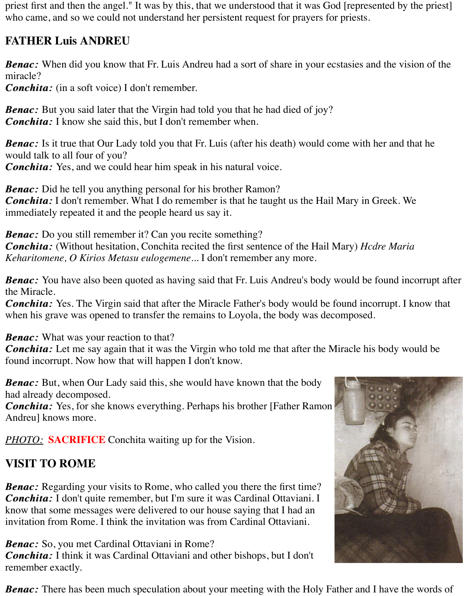priest first and then the angel." It was by this, that we understood that it was God [represented by the priest] who came, and so we could not understand her persistent request for prayers for priests.

## **FATHER Luis ANDREU**

*Benac:* When did you know that Fr. Luis Andreu had a sort of share in your ecstasies and the vision of the miracle?

*Conchita:* (in a soft voice) I don't remember.

**Benac:** But you said later that the Virgin had told you that he had died of joy? *Conchita:* I know she said this, but I don't remember when.

*Benac*: Is it true that Our Lady told you that Fr. Luis (after his death) would come with her and that he would talk to all four of you?

*Conchita:* Yes, and we could hear him speak in his natural voice.

*Benac:* Did he tell you anything personal for his brother Ramon? *Conchita: Conchita:* I don't remember. What I do remember is that he taught us the Hail Mary in Greek. We immediately repeated it and the people heard us say it.

**Benac:** Do you still remember it? Can you recite something? *Conchita: Conchita:* (Without hesitation, Conchita recited the first sentence of the Hail Mary) *Hcdre Maria Keharitomene, O Kirios Metasu eulogemene...* I don't remember any more.

*Benac:* You have also been quoted as having said that Fr. Luis Andreu's body would be found incorrupt after the Miracle.

*Conchita: Conchita:* Yes. The Virgin said that after the Miracle Father's body would be found incorrupt. I know that when his grave was opened to transfer the remains to Loyola, the body was decomposed.

**Benac:** What was your reaction to that?

*Conchita: Conchita:* Let me say again that it was the Virgin who told me that after the Miracle his body would be found incorrupt. Now how that will happen I don't know.

**Benac:** But, when Our Lady said this, she would have known that the body had already decomposed.

*Conchita:* Yes, for she knows everything. Perhaps his brother [Father Ramon] Andreu] knows more.

**PHOTO: SACRIFICE** Conchita waiting up for the Vision.

## **VISIT TO ROME**

**Benac:** Regarding your visits to Rome, who called you there the first time? *Conchita: Conchita:* I don't quite remember, but I'm sure it was Cardinal Ottaviani. I know that some messages were delivered to our house saying that I had an invitation from Rome. I think the invitation was from Cardinal Ottaviani.

*Benac:* So, you met Cardinal Ottaviani in Rome? *Conchita:* I think it was Cardinal Ottaviani and other bishops, but I don't remember exactly.

*Benac:* There has been much speculation about your meeting with the Holy Father and I have the words of

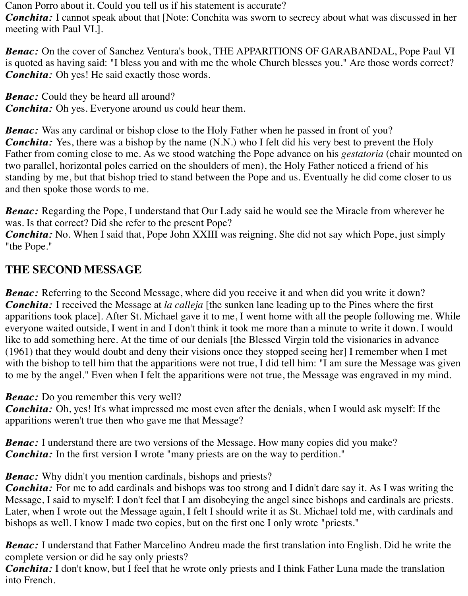Canon Porro about it. Could you tell us if his statement is accurate?

*Conchita: Conchita:* I cannot speak about that [Note: Conchita was sworn to secrecy about what was discussed in her meeting with Paul VI.].

*Benac:* On the cover of Sanchez Ventura's book, THE APPARITIONS OF GARABANDAL, Pope Paul VI is quoted as having said: "I bless you and with me the whole Church blesses you." Are those words correct? *Conchita: Conchita:* Oh yes! He said exactly those words.

**Benac:** Could they be heard all around? *Conchita:* Oh yes. Everyone around us could hear them.

**Benac:** Was any cardinal or bishop close to the Holy Father when he passed in front of you? *Conchita:* Yes, there was a bishop by the name (N.N.) who I felt did his very best to prevent the Holy Father from coming close to me. As we stood watching the Pope advance on his *gestatoria* (chair mounted on two parallel, horizontal poles carried on the shoulders of men), the Holy Father noticed a friend of his standing by me, but that bishop tried to stand between the Pope and us. Eventually he did come closer to us and then spoke those words to me.

*Benac:* Regarding the Pope, I understand that Our Lady said he would see the Miracle from wherever he was. Is that correct? Did she refer to the present Pope?

*Conchita: Conchita:* No. When I said that, Pope John XXIII was reigning. She did not say which Pope, just simply "the Pope."

## **THE SECOND MESSAGE**

**Benac:** Referring to the Second Message, where did you receive it and when did you write it down? *Conchita: Conchita:* I received the Message at *la calleja* [the sunken lane leading up to the Pines where the first apparitions took place]. After St. Michael gave it to me, I went home with all the people following me. While everyone waited outside, I went in and I don't think it took me more than a minute to write it down. I would like to add something here. At the time of our denials [the Blessed Virgin told the visionaries in advance (1961) that they would doubt and deny their visions once they stopped seeing her] I remember when I met with the bishop to tell him that the apparitions were not true, I did tell him: "I am sure the Message was given to me by the angel." Even when I felt the apparitions were not true, the Message was engraved in my mind.

*Benac:* Do you remember this very well?

*Conchita: Conchita:* Oh, yes! It's what impressed me most even after the denials, when I would ask myself: If the apparitions weren't true then who gave me that Message?

**Benac:** I understand there are two versions of the Message. How many copies did you make? *Conchita:* In the first version I wrote "many priests are on the way to perdition."

*Benac:* Why didn't you mention cardinals, bishops and priests?

*Conchita: Conchita:* For me to add cardinals and bishops was too strong and I didn't dare say it. As I was writing the Message, I said to myself: I don't feel that I am disobeying the angel since bishops and cardinals are priests. Later, when I wrote out the Message again, I felt I should write it as St. Michael told me, with cardinals and bishops as well. I know I made two copies, but on the first one I only wrote "priests."

*Benac:* I understand that Father Marcelino Andreu made the first translation into English. Did he write the complete version or did he say only priests?

*Conchita: Conchita:* I don't know, but I feel that he wrote only priests and I think Father Luna made the translation into French.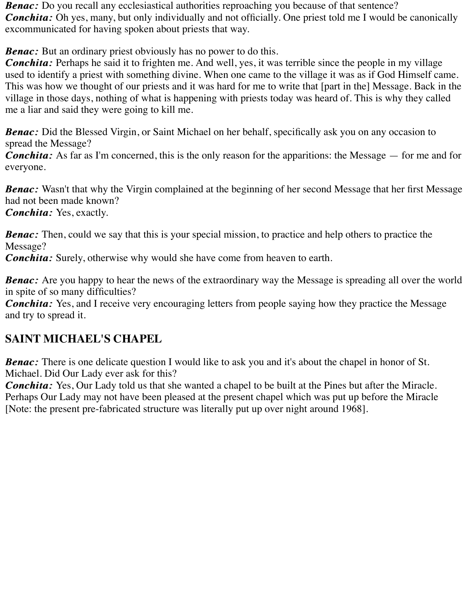**Benac:** Do you recall any ecclesiastical authorities reproaching you because of that sentence? *Conchita:* Oh yes, many, but only individually and not officially. One priest told me I would be canonically excommunicated for having spoken about priests that way.

**Benac:** But an ordinary priest obviously has no power to do this.

*Conchita: Conchita:* Perhaps he said it to frighten me. And well, yes, it was terrible since the people in my village used to identify a priest with something divine. When one came to the village it was as if God Himself came. This was how we thought of our priests and it was hard for me to write that [part in the] Message. Back in the village in those days, nothing of what is happening with priests today was heard of. This is why they called me a liar and said they were going to kill me.

**Benac:** Did the Blessed Virgin, or Saint Michael on her behalf, specifically ask you on any occasion to spread the Message?

*Conchita:* As far as I'm concerned, this is the only reason for the apparitions: the Message — for me and for everyone.

**Benac:** Wasn't that why the Virgin complained at the beginning of her second Message that her first Message had not been made known?

*Conchita: Conchita:* Yes, exactly.

**Benac:** Then, could we say that this is your special mission, to practice and help others to practice the Message?

*Conchita: Conchita:* Surely, otherwise why would she have come from heaven to earth.

*Benac:* Are you happy to hear the news of the extraordinary way the Message is spreading all over the world in spite of so many difficulties?

*Conchita: Conchita:* Yes, and I receive very encouraging letters from people saying how they practice the Message and try to spread it.

## **SAINT MICHAEL'S CHAPEL**

*Benac:* There is one delicate question I would like to ask you and it's about the chapel in honor of St. Michael. Did Our Lady ever ask for this?

*Conchita: Conchita:* Yes, Our Lady told us that she wanted a chapel to be built at the Pines but after the Miracle. Perhaps Our Lady may not have been pleased at the present chapel which was put up before the Miracle [Note: the present pre-fabricated structure was literally put up over night around 1968].